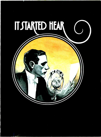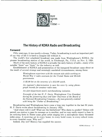

# The History of KDKA Radio and Broadcasting

#### Foreword

Fifty years ago, it was mostly a dream. Today, broadcasting is such an important part of our way of life it is hard to imagine life without it.

The world's first scheduled broadcast was made from Westinghouse's KDKA, the pioneer broadcasting station of the world, in Pittsburgh, Pa., U.S.A. on Nov. 2, 1920.

Much of the early history of KDKA is actually the early history of radio—many of its notable "firsts" are "firsts" for the industry as well.

Establishment of KDKA and presentation of the inaugural broadcast came about as the result of several strange and seemingly unrelated circumstances; among them:

> Westinghouse experience with the vacuum tube while working on World War I radio contracts for the United States and British governments.

A \$5.00 bet on the accuracy of a \$12.00 watch.

An engineer's determination to save his voice by using phonograph records for amateur radio tests.

An alert department store's merchandising initiative.

Foresight of the late H. P. Davis, Westinghouse Vice President during the pioneering days and later Chairman of the Board of  $the National Broadcasting Company$ —the man generally credited with being the "Father of Broadcasting."

Broadcasting and Westinghouse have come a long way together in the last 50 years. H. P. Davis wrote about broadcasting in January 1922:

"And where will it end? What are the limitations? Who dares to predict? Relays will permit one station to pass its message on to another, and we may easily expect to hear in an outlying farm in Maine some great artist singing into a microphone many thousand miles away. A receiving set in every home; in every hotel room; in every school room; in every hospital room. Why not?"

Indeed, why not? History has supplied the answer.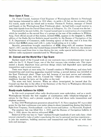#### Once Upon A Time .. .

Dr. Frank Conrad, Assistant Chief Engineer of Westinghouse Electric in Pittsburgh first became interested in radio in  $1912$  when—to settle a \$5 bet on the accuracy of his \$12 watch, made with his friend and co-worker Thomas S. Perkins, manager of Detail and Supply at the Westinghouse East Pittsburgh plant—he had built a small receiver to hear time signals from the Naval Observatory at Arlington, Va. (Dr. Conrad won the bet.)

Fascinated by his new hobby, Dr. Conrad turned next to construction of a transmitter which he installed on the second floor of a garage at the rear of his residence in Wilkinsburg. First official record of this station, licensed 8XK, appears in the August 1, 1916, edition of the Radio Service Bulletin issued monthly by the Bureau of Navigation of the U. S. Department of Commerce, radio licensing agency of that day; and it is from this station that KDKA stems and with it, radio broadcasting as it is today.

Security precautions brought cancellation of 8XK along with all amateur licenses April 7, 1917, one day after the United States entered World War I. However, the station's facilities were used from time to time during the war, under special authorization, to test military radio equipment manufactured by Westinghouse.

#### Dr. Conrad and the World War I Spy Scare

Earliest result of the Conrad work on war contracts was a revolutionary new type of radio for the U. S. Signal Corps, one of the first vacuum tube wireless sets. This represented a drastic departure from previous design which had depended upon spark -gap transmitters and crystal receivers.

Tests were begun at once using Dr. Conrad's station in Wilkinsburg; and since both transmitting and receiving apparatus required testing, a second station was installed at the East Pittsburgh plant. These tests led, because of war -taut nerves and misunderstanding, to a spy scare, with Dr. Conrad the "villain" in the piece when overzealous neighbors, hearing the tests, set the police on his trail.

The scare was brief, however. When an officer investigated, he learned that Dr. Conrad was that day in the office of the Secretary of the Navy in Washington discussing radio telephone equipment for battleships.

#### Ready -made Audience for KDKA

As this work progressed other radio developments were undertaken, and as a result, Westinghouse became the first supplier of combination radio telephone -telegraph receivers for the Navy, and a pioneer supplier of ship and shore radio transmitters and airplane receivers.

In May 1919 Westinghouse generators aboard the U. S. Navy seaplane NC -4 provided power for the first continuous over -water plane -to -shore transmitting during this historic flight from Trepassy, Newfoundland—via the Azores and Lisbon—to Plymouth, England.

The amateur ban was lifted Oct. 1, 1919, and the Bureau of Navigation bulletin of May 1, 1920, shows the station relicensed 8XK.

Removal of the war ban on "ham" stations brought hundreds of new radio fans—their interest whetted by tales of radio's uses during the war by personal wartime experiences to join the amateurs, building receivers and transmitters and filling the air with their tests and messages.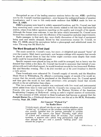Recognized as one of the leading amateur stations before the war,  $8XK$ -profitting now by Dr. Conrad's wartime experience—soon became the undisputed leader of amateur broadcasters, and it was to this ready -made audience that KDKA made its bow on Nov. 2, 1920.

8XK's programs were heard in widely separated locations, and Dr. Conrad was kept busy answering mail—some from fans who merely wished to tell him they had heard his station, others from fellow operators reporting on the quality and strength of his signals. Although the former were welcome, it was the latter which interested Dr. Conrad more because they enabled him to plot the efficiency of his transmitter and plan improvements.

Radio messages, in that early day, were chiefly discussions of the kind of equipment being used and results obtained. Bored by this monotonous routine Dr. Conrad, on Oct. 17, 1919, placed his microphone before a phonograph and substituted music for voice. The song was Old Black Joe.

#### The Word Broadcast Is First Used

The music saved Dr. Conrad's voice, but more—it delighted and amazed "hams" all over the country. Mail, heavy previously, now became a deluge with requests that records be played at special times so that the writer might convince some skeptic that music really could be transmitted through space.

Specific requests were played as long as this could be arranged, but so heavy was the demand that within a few days, Dr. Conrad was forced to announce that instead of complying with each individual request, he would broadcast records for two hours each Wednesday and Saturday evening. This is the first recorded use of the word broadcast to describe a radio service.

These broadcasts soon exhausted Dr. Conrad's supply of records, and the Hamilton Music Store in Wilkinsburg, Pa. offered a continuing supply of records if he would announce that the records could be purchased at the Hamilton store. Dr. Conrad agreed and thus gave the world its first radio advertiser—who promptly found that records played on the air sold better than others.

This two -a -week program schedule was continued with live vocal and instrumental talent added from time to time and with Dr. Conrad's two young sons—Crawford and Francis, who was later Director of Radio for the Western Division of the American Broadcasting Company at Hollywood—acting as radio's original masters of ceremonies.

By late summer of 1920, interest in these broadcasts had become so general that the Joseph Horne Co., a Pittsburgh department store, ran this ad in the SUN, Wednesday evening, Sept. 29, 1920:

# Air Concert "Picked Up"<br>by Radio Here

Victrola music, played into the air over a wireless telephone, was "picked up" by listeners on the wireless receiving station which was recently installed here for patrons interested in wireless experiments. The concert was heard Thursday night about 10 o'clock and continued about 20 minutes. Two orchestra numbers, a soprano solo—which rang particularly high and clear through the air-and a juvenile "talking piece" constituted the program.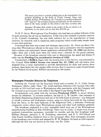The music was from a victrola pulled close to the transmitter of a wireless telephone in the home of Frank Conrad, Penn and Peebles Avenue, Wilkinsburg. Dr. Conrad is a wireless enthusiast and "puts on" the wireless concerts periodically for the entertainment of the many people in this district who have wireless sets.

Amateur Wireless Sets, made by the maker of the set which is in operation in our store, are on sale here \$10.00 up.

To H. P. Davis, Westinghouse Vice President who had been an ardent follower of the Conrad ventures, the ad was an inspiration. If this was a fair example of popular reaction to Dr. Conrad's broadcasts, the real radio industry lay in the manufacture of home receivers, he reasoned, and in supplying radio programs which would make people want to own such receivers.

Convinced that here was a great new business opportunity, Mr. Davis set about winning other Westinghouse officials to the same view, and so persuasive were his arguments that a station was authorized, license application submitted Oct. 16, 1920 and election night—then only a little more than two weeks away—selected for the grand opening.

Occasion of the broadcast selected with care to demonstrate the speed and drama of radio was the Harding-Cox presidential election of 1920.

Construction of KDKA, begun only one month prior to the election, was entrusted to Dr. Conrad. First KDKA license was issued Oct. 27, 1920, and call letters were assigned from a roster maintained to provide identification for ships and marine shore stations, these being the only regular radio services then in operation under formal license by the Federal Government. KDKA was located at 360 meters.

#### Newspaper Provides Returns by Telephone

Assisting Dr. Conrad was his long-time friend and co-worker, D. G. Little, former Kalamazoo (Mich.) radio "ham." Mr. Little had been tinkering with vacuum tube radio as early as 1910 and had come to Westinghouse after association with the Company and Dr. Conrad on government work while in the Signal Corps during World War I.

Arrangements were made with the morning Pittsburgh POST, to secure election returns by telephone. To increase audience, the late  $D$ . L. W. Chubb—then manager of the Radio Engineering Department and one of the little band of pioneers—was delegated to install a receiver and loudspeaker system, using two horns borrowed for the occasion from the Navy, in the main ballroom of the Edgewood Club, a suburban Pittsburgh community center where many Westinghouse people and other local residents gathered.

The broadcast originated in a tiny, makeshift shack atop one of the Westinghouse manufacturing buildings at East Pittsburgh. There was no studio. A single room accommodated transmitting equipment, turntable for records, and the first broadcast staff: William Thomas, operator; L. H. Rosenberg, announcer; and R. S. McClelland and John Frazier handling telephone lines to the newspaper office. First newspaper accounts of the broadcast were written and released by W. W. Rodgers. On hand as chief engineer, although the title was not known at the time, was Mr. Little.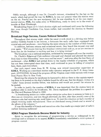Oddly enough, although it was Dr. Conrad's interest, stimulated by the bet on the watch, which had paved the way for KDKA, he was not present when the station went on the air. Fearful lest the new equipment fail, he was standing by at his own experimental station, 8XK, five miles away in Wilkinsburg, ready to carry on in the event of trouble at East Pittsburgh.

Broadcasting began at 6 o'clock election night and continued until noon the following day, even though Candidate Cox, hours earlier, had conceded the election to Senator Harding.

# Broadcast Huge Success, Causes National Sensation

Throughout that stormy night, while the usual crowds stood in a driving rain before outdoor bulletin boards to see returns, a fortunate few early radio fans-equipped with crystal sets and earphones—were hearing the same returns in the comfort of their homes.

In addition, between returns and occasional music, they heard this request over and over again: "Will anyone hearing this broadcast communicate with us, as we are anxious to know how far the broadcast is reaching and how it is being received."

The broadcast was a national sensation, acclaimed by newspapers all over the country.

Dr. Chubb's Edgewood Club audience whooped and cheered and phoned the station from time to time demanding "more news and less music"; and even after the first flurry of excitement-when KDKA had settled down to the regular schedule of programs, which has not been interrupted since that time, mail continued to pour in telling of reception here, there, and everywhere.

One such report came from H. W. Irving, now retired transmitter supervisor at KDKA. Working as a merchant marine radio operator assigned to the U. S. Army transport, ANTIGONE, he heard the program off the Virginia coast while enroute with troops from Puerto Rico to New York.

Receiving the returns by earphones he hastened to deliver them to the captain expecting them to be posted on the ship's bulletin board for all to see. But the skipper, victim of a "radio" hoax several months before, was dubious and would not permit the returns to be posted.

In order to justify the creation of **KDKA**, it was important that the station have an audience able to receive its broadcasts. Mr. Davis explained the problem in a speech to the Harvard Business School in 1928:

"A broadcasting station is a rather useless enterprise unless there is someone to listen to it. Here was an innovation, and even though advertised, few then, other than possibly some of the amateurs who had receiving sets, could listen to us. To meet this situation we had a number of simple receiving outfits manufactured. These we distributed among friends and to several of the officers of the company."

It was this handful of friends and executives who thus made up a major part of radio's earliest listening audiences!

# KDKA Program Standards Become Model for Industry

Quick to recognize the seriousness of programming a service so widespread in its coverage and so intimate in its appeal, KDKA immediately established a strict system of program control.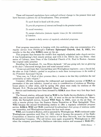These self-imposed regulations have endured without change to the present time and have become a pattern for all broadcasters. They promised:

To work hand-in-hand with the press.

To provide programs of interest and benefit to the greatest number.

To avoid monotony.

To assign distinctive features regular times for the convenience of listeners.

To operate a daily service of regularly scheduled programs.

First program innovation in keeping with this ambitious plan was presentation of a regular service from Pittsburgh's Calvary Episcopal Church, Jan. 2, 1921, two months to the day after **KDKA** came on the air.

This program thus became the world's first regularly scheduled radio church service; it was broadcasting's first remote pickup; and with it Dr. Edwin Jan van Etten—then rector of Calvary, later Dean of the Cathedral Church of St. Paul in Boston-became the original radio preacher

Recalling the broadcast, Dr. van Etten declared: "All was going well, but on glancing at the choir I discovered strange faces and noted unusual antics.

"It was not until later that I learned these were Westinghouse engineers—one a Jewish lad, the other an Irish Catholic—garbed in surplices to make them inconspicuous in the midst of my Protestant Episcopal Church.

"Even now, as I think of their presence there, it seems to me that they symbolize the real universality of radio religion."

Company officials, recognizing the widespread and immediate success of KDKA as pacemaker of the new industry, turned at once to consideration of stations at Westinghouse plants in other cities, and by spring 1921 plans were ready for stations at the Newark (N.J.) Works and the Springfield (Mass.) Works.

Service and leadership have been stressed by **KDKA** since those very first days back in 1920.

The Newark station, although listed as WJZ in the Radio Service Bulletin of June 1, 1921, was not licensed until Sept. 30, 1921. It went on the air the following day. Meanwhile, the Springfield station, licensed WBZ Sept. 5, 1921, went on the air Sept. 19 with a remote pickup from the Eastern States Exposition at West Springfield. Thus, WBZ became the second broadcasting station to offer a regularly scheduled program service. KDKA, WBZ and WJZ constituted broadcasting's first group of stations under one ownership, and Westinghouse became the first such owner.

WBZ, now located in Boston, still is operated by Westinghouse. WJZ continued under Westinghouse operation until May 15, 1923, when it became the property of the Radio Corporation of America and later key station of the Blue Network, now the American Broadcasting Company. (The call letters were again acquired by Westinghouse in 1957 when the company purchased a Baltimore television station and renamed it WJZ-TV.)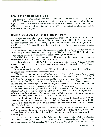## KYW Fourth Westinghouse Station

Armistice Day, 1921, brought opening of the fourth Westinghouse broadcasting station  $-KYW$  in Chicago—and presentation of radio's first grand opera as a part of that inaugural. Miss Mary Garden introduced the program. KYW was located in Chicago until 1935 when it was moved to Philadelphia. In 1955 it was shifted to Cleveland, and in 1965 back to Philadelphia.

#### Harold Arlin: Chance Led Him to a Place in History

To meet the demands of its growing program service KDKA, in early January 1921, employed the world's first full-time radio announcer. He was Harold W. Arlin, a young electrical engineer—born in La Harpe, Ill.; schooled in Carthage, Mo.; and a graduate of the University of Kansas. He was then working in the Westinghouse offices at East Pittsburgh.

It was just to satisfy his curiosity that Arlin wandered over to inspect the operation of the newly-founded Westinghouse radio station, **KDKA**, in late 1920. He had no idea he was going to become part of history as radio's first regular announcer.

But KDKA was looking for an announcer. He applied, and from that moment, almost everything he did on the air became a radio first.

In the early days of KDKA, Arlin introduced such celebrities as William Jennings Bryan, Marshall Foch, David Lloyd George, Will Rogers, Lillian Gish, Herbert Hoover and Babe Ruth.

Now retired and living in Mansfield, Ohio, Arlin can look back at radio's first 50 years and reminisce over his role in those early times.

"The Yankees were playing an exhibition game in Pittsburgh," he recalls, "and to make sure there were no flubs, a speech was written for Babe Ruth to read before the game. When I introduced him, he suddenly got scared and couldn't say a word—mike fright was common in those days so I grabbed his speech and read it myself. In the meantime, Babe composed himself somewhat and leaned against a wall smoking a cigar while I subbed for him. I received several letters commenting on 'what a wonderful voice Babe Ruth has'."

He remembers Will Rogers and his great ability to extemporize. One time, on the air, Rogers "took this copy of the Pittsburgh SUN and talked for 15 minutes in a very humorous vein just from the headlines in the evening paper. I think it was one of the most remarkable demonstrations of extemporaneous wit that I've ever witnessed."

Arlin, who stayed with radio only five years before going to Mansfield to work for Westinghouse Industrial Relations, spearheaded radio's entry into the sporting world. He delivered the first baseball scores from a studio and then later reported the first professional baseball game.

"The microphone we used for football broadcasts," says Arlin, "looked like a tomato can with a felt lining. We called it a mushophone." KDKA chose Pitt's opening home game against West Virginia to begin its football coverage and Arlin was chosen to do the play -by -play.

It is the second game, however, that Arlin remembers more vividly—Pitt vs. Nebraska. Both teams were reputed to have excellent teams and everyone was keyed up for the game. After one touchdown Arlin recalls, "I got a little excited and yelled into the microphone so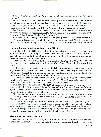loud that it knocked the needle off the modulation meter and we were off the air for several minutes."

In 1924 Arlin was voted the world's most popular announcer-KDKA shortwave broadcasts were heard on several continents—and when he left radio the next year, a British newspaper noted his retirement, calling Harold Arlin of KDKA, the Westinghouse station in Pittsburgh, Pa., U.S.A., "the best known voice in Europe."

On January 15, 1921, Herbert Hoo ver, wartime food administrator and president -tobe, made his first radio address from KDKA. The occasion was a speech on behalf of the European Relief Fund at Pittsburgh's Duquesne Club.

February 18, 1921, brought the first remote pickup from a hotel when speeches of Col. Theodore Roosevelt, Jr., and Oklahoma Congresswoman -elect Alice M. Robertson were broadcast from a banquet of the Pittsburgh Press Club in the William Penn Hotel.

#### Harding Inaugural Address Read from KDKA

On March 4, 1921, KDKA scored another first with a broadcast of the inaugural address of Warren G. Harding as he became the 28th President of the United States. A copy of the Harding text was obtained in advance and read on the air while the new President was speaking in Washington.

March 10, 1921, marked the first broadcast from a theater when songs of Miss Ruth Roye, soprano, were picked up from the stage of the Davis Theater in downtown Pittsburgh.

A little more than a week later, on March 19, KDKA presented the first in- person radio appearance of a government official of cabinet rank when Secretary of War John W. Weeks, in Pittsburgh for a Chamber of Commerce gathering, made his radio debut. This was also the first broadcast from a public auditorium.

The first collegiate broadcast came April 9, 1921, when proceedings of a meeting of the Pittsburgh Chapter of the Pennsylvania State College Alumni Association, addressed by Penn State Director of Athletics Hugo Bezdek were broadcast.

Two days later, on April 11, 1921, KDKA broadcast the first sports event—a 10round no- decision fight between Johnny Ray and Johnny Dundee in Pittsburgh's Motor Square Garden. First sports announcer was Florent Gibson, Pittsburgh POST sports writer who delivered the blow-by-blow description.

First regular broadcasts of baseball scores were introduced on **KDKA** April 13 with the opening of the 1921 major league season. Scores were presented three times $-6:05$ , 7:05, and  $8:05$ —each evening.

Dr. Van Etten's original church broadcast had demonstrated the spiritual aspects of radio in bringing religious services to shut -ins. On April 17, 1921, the value of broadcasting to pastorless charges was demonstrated in Pittsburgh when services originating in Calvary Episcopal Church were received by radio, amplified and presented by loudspeaker to the congregation of the Herron Hill Presbyterian Church.

#### KDKA Farm Service Launched

May 19, 1921, marked the inauguration of one of the most important services ever undertaken by KDKA. It was on this date that the first government market reports were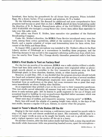broadcast, thus laying the groundwork for all future farm programs. Prices included: Eggs, 30¢ a dozen; butter,  $37\frac{1}{6}$  a pound; and potatoes, \$1.75 a bushel.

By the following summer, the demand for additional and more comprehensive farm programs had become so great that on July 1, KDKA placed all farm broadcasting under the direction of E. S. Bayard, Pennsylvania editor of the NATIONAL STOCKMAN AND FARMER who brought a young Sioux City (Iowa) farm editor East especially to take over this radio work.

That editor was Frank E. Mullen, later executive vice president of the National Broadcasting Company.

Under Mr. Mullen's direction, the KDKA Farm Service introduced many news features, among them cotton quotations, added at the insistence of listeners in the deep South; and a regular schedule of recipes and homemaking hints for farm wives, forerunner of the Farm and Home Hour.

In August 1923, a special microphone was installed in Mr. Mullen's offices in the East Liberty section of Pittsburgh as a convenience in handling these programs; and the following January it was moved to the magazine's adjoining auditorium from which location the nearby New Texas (Pa.) Grange shortly thereafter presented radio's first barn dance.

#### KDKA's First Studio Is Tent on Factory Roof

For the first six months of its existence, KDKA was a radio station without a studio. There had been little need for one, since all programs were originated either as phonograph records played on turntables in the tiny transmitter penthouse atop the East Pittsburgh plant; or from churches, theaters, hotels, or other remote points.

However, in mid -May, 1921, it was decided that the program structure should include live band and orchestral talent as well as recordings and the services of several excellent musical organizations of Westinghouse employees were secured. First programs were broadcast from an auditorium at the plant, but room resonance was so great that engineers immediately set about finding other facilities.

As an experiment they pitched a tent on the roof next to their transmitter -penthouse. This tent-studio served admirably all summer long and—even after it had been blown down in early-autumn gale-left its lessons to guide engineers in the use of drapes and acoustical board in building its ever -so- much -more dignified indoor successor which was opened the following October 3 at East Pittsburgh.

These were days of endless, and frequently amusing, "growing pains" at **KDKA**.

Early fans still recall the whistle of a passing freight train which, in the days of the tent studio, became a regular 8:30 p.m. feature, no matter what the program.

#### Insect in Tenor's Mouth Puts Station Off the Air

Singing in the tent studio one evening, a well -known tenor opened his mouth wide to sing a full, high note and almost swallowed an insect. His comments, which came in a torrent of angry words as soon as he caught his breath, were not in good radio taste and a vigilant operator took the station off the air in a hurry.

On another occasion, after the first indoor studio had been built, a stray dog raced into the studio while Announcer Arlin was presenting baseball scores, upset the microphone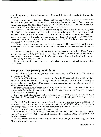scrambling scores, notes and announcer—then added his excited barks to the pandemonium.

The radio debut of Economist Roger Babson was another memorable occasion for Mr. Arlin. At great pains to reassure his guest, somewhat nervous at his first venture on the air, Mr. Arlin learned, after five minutes of Mr. Babson's speech, that the transmitter was not operating, and the entire program had to be repeated.

Testing some of KDKA's earliest short wave equipment for remote pickup, Engineer Little had the embarrassing experience of breaking into the Lord's Prayer during a broadcast from Pittsburgh's Point Breeze Presbyterian Church with a monotonous "one, two, three ... testing." Both regular wire and short wave link pickups had been installed and someone, inadvertently, opened Mr. Little's short wave "mike" while services were being broadcast via the wire pickup.

A broken wire at a tense moment in the memorable Dempsey -Firpo fight and an announcer's zeal to keep the station on the air combined to produce another pioneering chuckle.

The break came just as the excited ringside announcer was shouting "*Firpo lands a* terrific blow knocking the champion  $\ldots$  " -and the standby announcer in the studio, snatching up the first convenient bit of copy, continued almost without interruption "with hogs up two cents a pound  $\ldots$ "

By an unfortunate circumstance he had picked up a market report instead of late news flashes.

#### Heavyweight Championship, World Series

Much of the early history of sports in radio was written by KDKA during the summer and autumn of 1921.

On July 2 KDKA broadcast the four -round World's Heavyweight Boxing Championship between Titleholder Jack Dempsey—who had defeated Jess Willard at Toledo just two years before—and French Challenger Georges Carpentier, blow-by-blow from Boyles' Thirty Acres at Jersey City.

In early August KDKA broadcast play -by -play detail of Davis Cup Tennis Matches in which the Australian team defeated British netmen at Pittsburgh's Allegheny Country Club in suburban Sewickley.

Baseball's first play -by -play radio coverage came August 5 when Announcer Arlin described the Pittsburgh Pirates' 8-5 victory over the Philadelphia Phils from Forbes Field.

The 1921 World Series was an all New York affair with the Giants meeting the Yankees at the Polo Grounds. The opener came Oct. 5 and KDKA, with a direct wire to Pittsburgh, broadcast play -by -play detail by Grantland Rice. The Giants lost the opener <sup>3</sup>-0, but came on to take the series five games to three.

Luminaries in the Giant lineup included: Pitcher Art Nehf; "Fordham Frankie" Frisch; "Long George" Kelly; and Emil Meusel, whose brother, Bob, played right field for the Yankees.

Other Yankee celebrities included: Babe Ruth; Waite Hoyt; Bob Shawkey, and Carl Mays, who won the opener.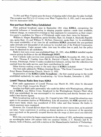To Pitt and West Virginia goes the honor of sharing radio's first play -by -play football. The occasion was Pitt's 21-13 victory over West Virginia Oct. 8, 1921, and it was another first for Announcer Arlin.

# Non -partisan Radio Policy Established

 $\ddot{ }$ 

First political broadcast came in September 1921 when KDKA-recognizing the powerful influence of broadcasting in shaping popular opinion—made time available, without charge, on consecutive evenings so that aspirants for nomination as their respective party's candidate for Mayor of Pittsburgh might state their views for listeners.

William A. Magee, Republican, spoke Monday, Sept. 12; Joseph A. Mackrell, Republican, spoke Sept. 13; and William N. McNair, Democrat, spoke Sept. 14. In establishing this equal availability of air time for all candidates KDKA pioneered the non-partisan radio attitude now demanded of all stations by ironclad rule of the Federal Communications Commission. Under present rules, time may be either free or paid, but the policy must be identical for all candidates.

Radio's first news room was established Sept. 20, 1921, when **KDKA** installed regular remote pickup facilities at the old Pittsburgh POST.

First Catholic radio services were presented from **KDKA** November 28, 1921, by the late Rev. Thomas F. Coakley from Old St. Patrick's Church, 17th Street and Liberty Avenue, Pittsburgh. Father Coakley recalled how listeners, noting that the collection was omitted from the radio service, sent their contributions by mail.

Other history-making events in the early days of **KDKA** included:

The first radio address by William Jennings Bryan, "The Great Commoner," from the Point Breeze Presbyterian Church, March 12, 1922.

Organization of the KDKA Little Symphony—the first musical group in the world established exclusively for radio broadcasting-by Victor Saudek, December 4, 1922.

#### Lowell Thomas Radio Bow from KDKA

First radio appearance of Lowell Thomas was March 30, 1925, when he discussed "Man's First Flight Around the World."

Another top -flight radio personality who made his debut with Westinghouse, although not at KDKA, was Milton Cross. Employed in the Westinghouse Newark Plant when WJZ was established, he was encouraged to try announcing and shortly became one of radio's best-known figures.

With broadcasting well on its way, Dr. Conrad in late 1920, turned his attention once again to his amateur station at Wilkinsburg. Like all amateurs, his 8XK operated in the short wave band, which was considered of little value and thus became the limbo to which amateurs were consigned.

However, Dr. Conrad did not share this contempt for short waves since, as he pointed out later, "some experiences in picking up distant stations on a harmonic of the operating wave cast doubt on the generally accepted theories that the range of short waves was definitely limited."

With this conviction he began experiments in the spring of 1921, exchanging messages on wavelengths below 100 meters with two amateur friends, J. C. Ramsey and R. D. Decker, both of Boston, and with a station at the Massachusetts Institute of Technology.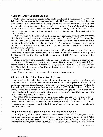# "Skip Distance" Behavior Studied

Out of these experiments came a better understanding of the confusing "skip distance" behavior of short waves—the phenomenon which had led many radio experts to the erroneous conclusion that this portion of the spectrum was useless. Tests revealed that short waves reflected by the Heaviside layer and other ionized strata of the earth's rarefied outer atmosphere bounce back and forth between these layers and the earth—like a stone skipping on a pond—and can be received only in those places where they strike the earth's surface.

With this improved understanding the short wave band soon became a favorite realm of radio research and, as a result, these once-despised frequencies—and others not then known—now have become the most useful in the entire electro-magnetic spectrum. Without them there would be: no radar; no static -free FM radio; no television; no low -power long-distance communications; and no practical high frequency heating of non-metallic substances for industry.

Active in this development since its earliest days, Westinghouse, August 1922, established its first short wave transmitter on the East Pittsburgh factory rooftop adjoining KDKA; and this station, licensed 8XS, carried many of KDKA's regular programs during tests.

Eager to conduct tests at greater distances and to explore possibilities of receiving and retransmitting the same program by short wave, Westinghouse engineers established a second short wave transmitter March 4, 1923, at the Cleveland (O.) Works. This was KDPM, radio's first "repeater" station, and as such, a trailblazer in the basic principle of radio link transmission.

Another major Westinghouse contribution came the same year.

#### All- electronic Television Born at Westinghouse

All previous television had employed mechanical scanning to break pictures into component lines—a requirement for radio transmission—and physical limitations of the mechanical process were retarding television development when in 1923, Dr. Vladimir K. Zworykin, a Russian-born scientist then employed in the Westinghouse Research Laboratories, applied for a patent on an electronic -beam television pickup. This system eliminated mechanical scanning, making pickup an all-electronic operation and led, after extensive development, to the iconoscope.

Six years later, in 1929, Dr. Zworykin demonstrated the kinescope which eliminated mechanical scanning from receiving as well, thus providing the first all-electronic television system- invented, developed, and demonstrated at Westinghouse. Today the iconoscope and kinescope—both adaptations of the cathode ray tube—are standard television equipment.

# "Repeater Station" Opened in Nebraska-Heard in England

In July 1923, 8XS began regular short wave broadcasts of KDKA programs several hours each evening, and the following month reception was reported in England. When this reception continued in good quality the British Broadcasting Corporation arranged to rebroadcast special greetings from  $KDKA$  to Great Britain the following New Year's Eve.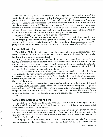On November 22, 1923—the earlier KDPM "repeater" tests having proved the feasibility of radio relay operation-a third Westinghouse short wave transmitter was placed in service. It was KFKX at Hastings, Neb., especially designed as a "repeater station" to receive and rebroadcast short wave programs from KDKA. Purpose of the installation was to increase KDKA program coverage. The Hastings location was chosen because it is near the geographical center of the country, and as a result of the experiment millions of new listeners throughout North and South America—many of them living on remote farms and ranches-joined KDKA's already sizable audience.

January 17, 1924, saw radio put to a new and dramatic use.

A Hudson Bay Company trapper, then marooned in the Far North, knew that his wife was undergoing a serious emergency operation; however, he had no way of knowing the outcome until his return to civilization after the spring thaws. Friends, recalling that the party had several radio receivers, asked KDKA to broadcast news of the wife's recovery.

#### Far North Service Born

Farm Editor Mullen included this personal message on his program several times and was rewarded the following April with a message of thanks from the grateful trapper who had heard the broadcast without difficulty.

During the following summer the Canadian government sought the cooperation of KDKA in maintaining radio contact with the exploring ship ARCTIC during its annual summer cruise conducting government investigations and taking supplies to outposts. These tests, too, were most successful, and the ship was in constant touch with headquarters for the first time in the history of the service.

It was these demonstrations of radio's great value to persons in inaccessible locations which led, shortly thereafter, to inauguration of the famed KDKA Far North Servicefor years the one personal connection with civilization for hundreds of missionaries, traders, Royal Canadian Northwest Mounted Policemen, and other isolated dwellers at the top of the world.

Although 8XS short wave was being heard regularly throughout the United States and in Canada, South America, Great Britain, and most of Europe, many radio engineers remained skeptical of its worth. Thus, when representatives of several associated radio companies met in London in 1924 to consider a radio link between Europe and South America, attention was focused on ultra-long wave transmission—at an estimated cost of \$4,000,000.

## Curtain Rod Antenna Saves Millions

Included in the American delegation was Dr. Conrad, who had arranged with his friends at 8XS to broadcast news from home, and who had taken along a small short wave receiver to hear these broadcasts.

After sitting through meeting after meeting in which only long wave transmission was discussed—but unwilling to project himself into the debate, since his role was primarily that of an observer—Dr. Conrad finally set up a demonstration of short wave to catch the attention of other delegates.

Arranging with his  $8XS$  colleagues to transmit a certain day's news via short wavebut by telegraph code rather than by voice, as was their custom ---Dr. Conrad invited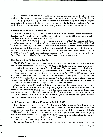several delegates, among them a former ship's wireless operator, to his hotel room; and with only the curtain rod for an antenna, asked the operator to copy news from Pittsburgh.

Thoroughly impressed by the demonstration, the operator -delegate recited his experience before the meeting the following day and as a result the Europe -to -South America radio link was by short wave-and at a saving of three and a half million dollars.

# International Station "In Uniform"

In mid-summer 1924, Dr. Conrad transferred his **8XK** license—direct forebearer of KDKA-to Westinghouse; and the Company relinquished the 8XS license under which it had been conducting its short wave research.

In January 1930 another short wave station was added  $-W1XAZ$  at Springfield, Mass.

After a sequence of changing call letters and transmitter locations, SXK and W1XAZ eventually were merged, January 1, 1921, as WBOS at Boston. This powerful transmitter, which served both Europe and South America, carried 12 hours of specialized programs each day before World War II with 13 specially trained announcers broadcasting in English, French, Spanish, and Portugese. During the War it was a key station in the far - flung Psychological Warfare Service of the Office of War Information.

# The RA and the DA Become the RC

 $\mathbf{L}$ 

World War I had done much to stir interest in radio and with removal of the wartime ban on amateurs late in 1919 Westinghouse turned to development of equipment to meet the growing demands of these "hams"—old and new. Work progressed through 1920 and late in the year two receiver units, combinations for either code or voice, were ready.

They were the RA tuner to pick up carrier waves at from 200 to 600 meters (500 to 1500 kilocycles) later, and still, the heart of the broadcast band; and the DA detectoramplifier to convert these signals for listening. Available shortly after KDKA presented its epic inaugural broadcast these equipments were much in demand and shortly thereafter they were combined as the Westinghouse RC regenerative receiver.

These units sold for \$65 each or \$125 in combination and a special adapter was available so that the horn of any convenient phonograph might be used as a loudspeaker. In addition, self- contained loudspeakers using the same adapter on the coiled brass horn section of the early rubber-bulb type automobile horn, were available for an extra \$15.

The RC receiver went into production in February 1921, and remained a prime favorite with early radio fans for more than two years.

#### First Popular- priced Home Receivers Built in 1921

From its earliest days, however, Westinghouse officials regarded broadcasting as a public service and, as such, one which should be made available to the widest possible audience. This meant a serviceable popular- priced receiver and thus it was that while the KDKA staff was busy with its trailblazing, other Westinghouse engineers were designing a radio receiving set for homes—a set simple enough for the non-technical fan to operate, and inexpensive enough to be afforded in every household.

This new model was ready in June 1921.

It was the Aeriola, Jr. -first popular-priced home radio receiver - a tiny crystal set,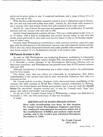six -by- six -by -seven inches in size. It employed earphones, had a range of from 12 to 15 miles, and sold for \$25.

With this first model launched, engineers turned at once to refinements and by December, two new and improved models were ready—Aeriola, Sr., first home radio receiver to use a vacuum tube; and Aeriola Grand, first self - contained home radio receiver.

Aeriola, Sr., was of about the same size and appearance as its predecessor. It used dry batteries and one vacuum tube and sold for \$60.

Aeriola Grand represented a greater advance. This was a tablecabinet model 12 by 15 by 16 inches, with a built-in loudspeaker and several vacuum tubes. It was with this model, which sold for \$175, that radio receivers first began to take on the familiar appearance of today's sets.

Greatest single Westinghouse contribution to radio receivers, however, came two years later with the introduction of the thermionic vacuum tube with indirectly heated cathode. This is the tube which eliminated batteries and made possible radio reception using ordinary house current. It is a fundamental principle of all modern radio.

# FM Patents Granted in 20's

As early as 1920 Westinghouse was employing frequency modulation in telegraphic communications. This principle, today's familiar FM, was pioneered by Dr. Conrad and C. J. Burnside, a former manager of the Westinghouse Electronics Division now an electronics consultant, and Westinghouse was granted more than 20 FM patents between 1920 and 1928.

Although introduction of broadcasting was a rather simple matter, the preliminaries were far from simple.

Two things, more than any others, are responsible for broadcasting—first, better understanding of the vacuum tube and its uses; and second, realization that radio is a universal service.

Dr. Conrad and his co- worker, Engineer Little, discovered latent possibilities of the vacuum tube while working on World War I Radio contracts undertaken by Westinghouse for the United States and British governments; but it was not until the Joseph Horne Co. advertised "amateur wireless sets" to hear Dr. Conrad's early "ham" programs, that radio's universality was recognized.

At the site of Dr. Conrad's former home in Wilkinsburg, a plaque was dedicated on November 2, 1957, the 37th anniversary of that first broadcast.

It reads:

#### BIRTHPLACE OF RADIO BROADCASTING

Here radio broadcasting was born. At this location, Dr. Frank Conrad, Westinghouse Engineer and Scientist, conducted experimental broadcasts which led to the establishment of KDKA and modern radio broadcasting, and to the world's first scheduled Broadcast, November 2, 1920.

> Dr. Frank Conrad 1874 -1941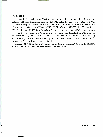# The Station

KDKA Radio is a Group W, Westinghouse Broadcasting Company, Inc. station. It is a 50,000 watt clear channel station located at 1020 on the dial and operates 24 hours a day.

Other Group W stations are: WBZ and WBZ-TV, Boston; WJZ-TV, Baltimore; KDKA -TV, Pittsburgh; KYW and KYW -TV, Philadelphia; WOWO, Fort Wayne, Ind.; WIND, Chicago; KPIX, San Francisco; WINS, New York; and KFWB, Los Angeles.

Donald H. McGannon is Chairman of the Board and President of Westinghouse Broadcasting Co., Inc. Marvin L. Shapiro is President of Westinghouse Broadcasting Station Group. Edward Wallis is Group W Area Vice President for Pittsburgh. A. B. Hartman is General Manager of KDKA Radio.

KDKA -FM (92.9 megacycles) operates seven days a week from 6 AM until Midnight. KDKA -AM and FM are simulcast from 6 AM until noon.